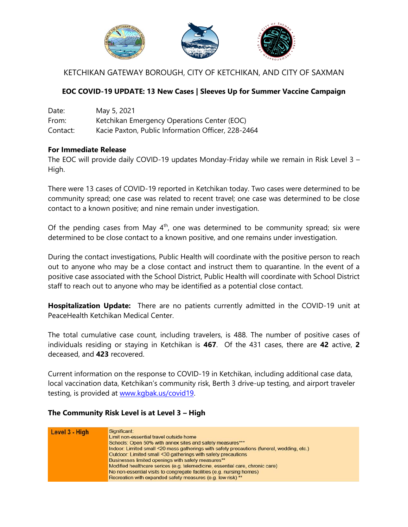

# KETCHIKAN GATEWAY BOROUGH, CITY OF KETCHIKAN, AND CITY OF SAXMAN

## **EOC COVID-19 UPDATE: 13 New Cases | Sleeves Up for Summer Vaccine Campaign**

| Date:    | May 5, 2021                                        |
|----------|----------------------------------------------------|
| From:    | Ketchikan Emergency Operations Center (EOC)        |
| Contact: | Kacie Paxton, Public Information Officer, 228-2464 |

#### **For Immediate Release**

The EOC will provide daily COVID-19 updates Monday-Friday while we remain in Risk Level 3 – High.

There were 13 cases of COVID-19 reported in Ketchikan today. Two cases were determined to be community spread; one case was related to recent travel; one case was determined to be close contact to a known positive; and nine remain under investigation.

Of the pending cases from May  $4<sup>th</sup>$ , one was determined to be community spread; six were determined to be close contact to a known positive, and one remains under investigation.

During the contact investigations, Public Health will coordinate with the positive person to reach out to anyone who may be a close contact and instruct them to quarantine. In the event of a positive case associated with the School District, Public Health will coordinate with School District staff to reach out to anyone who may be identified as a potential close contact.

**Hospitalization Update:** There are no patients currently admitted in the COVID-19 unit at PeaceHealth Ketchikan Medical Center.

The total cumulative case count, including travelers, is 488. The number of positive cases of individuals residing or staying in Ketchikan is **467**. Of the 431 cases, there are **42** active, **2**  deceased, and **423** recovered.

Current information on the response to COVID-19 in Ketchikan, including additional case data, local vaccination data, Ketchikan's community risk, Berth 3 drive-up testing, and airport traveler testing, is provided at [www.kgbak.us/covid19.](http://www.kgbak.us/covid19)

#### **The Community Risk Level is at Level 3 – High**